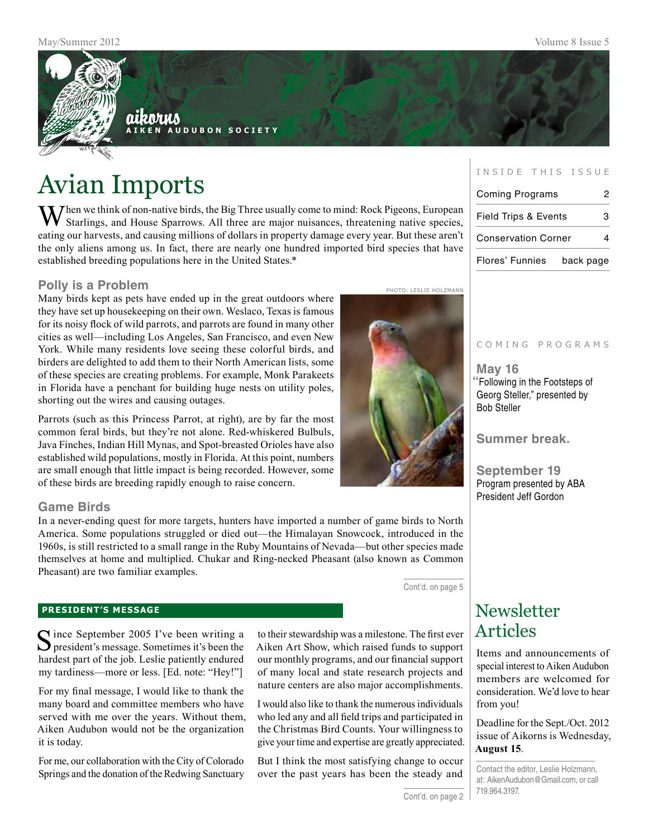

# Avian Imports

 $\mathbf{W}$  hen we think of non-native birds, the Big Three usually come to mind: Rock Pigeons, European Starlings, and House Sparrows. All three are major nuisances, threatening native species, eating our harvests, and causing millions of dollars in property damage every year. But these aren't the only aliens among us. In fact, there are nearly one hundred imported bird species that have established breeding populations here in the United States.\*

#### **Polly is a Problem**

Many birds kept as pets have ended up in the great outdoors where they have set up housekeeping on their own. Weslaco, Texas is famous for its noisy flock of wild parrots, and parrots are found in many other cities as well—including Los Angeles, San Francisco, and even New York. While many residents love seeing these colorful birds, and birders are delighted to add them to their North American lists, some of these species are creating problems. For example, Monk Parakeets in Florida have a penchant for building huge nests on utility poles, shorting out the wires and causing outages.

Parrots (such as this Princess Parrot, at right), are by far the most common feral birds, but they're not alone. Red-whiskered Bulbuls, Java Finches, Indian Hill Mynas, and Spot-breasted Orioles have also established wild populations, mostly in Florida. At this point, numbers are small enough that little impact is being recorded. However, some of these birds are breeding rapidly enough to raise concern.

### **Game Birds**

In a never-ending quest for more targets, hunters have imported a number of game birds to North America. Some populations struggled or died out—the Himalayan Snowcock, introduced in the 1960s, is still restricted to a small range in the Ruby Mountains of Nevada—but other species made themselves at home and multiplied. Chukar and Ring-necked Pheasant (also known as Common Pheasant) are two familiar examples.

Cont'd. on page 5

#### **president's message**

Since September 2005 I've been writing a president's message. Sometimes it's been the hardest part of the job. Leslie patiently endured my tardiness—more or less. [Ed. note: "Hey!"]

For my final message, I would like to thank the many board and committee members who have served with me over the years. Without them, Aiken Audubon would not be the organization it is today.

For me, our collaboration with the City of Colorado Springs and the donation of the Redwing Sanctuary

to their stewardship was a milestone. The first ever Aiken Art Show, which raised funds to support our monthly programs, and our financial support of many local and state research projects and nature centers are also major accomplishments.

I would also like to thank the numerous individuals who led any and all field trips and participated in the Christmas Bird Counts. Your willingness to give your time and expertise are greatly appreciated.

But I think the most satisfying change to occur over the past years has been the steady and

#### INSIDE THIS ISSUE

| <b>Coming Programs</b>          |           |
|---------------------------------|-----------|
| <b>Field Trips &amp; Events</b> |           |
| <b>Conservation Corner</b>      |           |
| Flores' Funnies                 | back page |

#### C o m i n g p r o g r a m s

**May 16 "**Following in the Footsteps of Georg Steller," presented by Bob Steller

**Summer break.**

**September 19** Program presented by ABA President Jeff Gordon

## **Newsletter** Articles

Items and announcements of special interest to Aiken Audubon members are welcomed for consideration. We'd love to hear from you!

Deadline for the Sept./Oct. 2012 issue of Aikorns is Wednesday, **August 15**.

Contact the editor, Leslie Holzmann, at: AikenAudubon@Gmail.com, or call 719.964.3197.

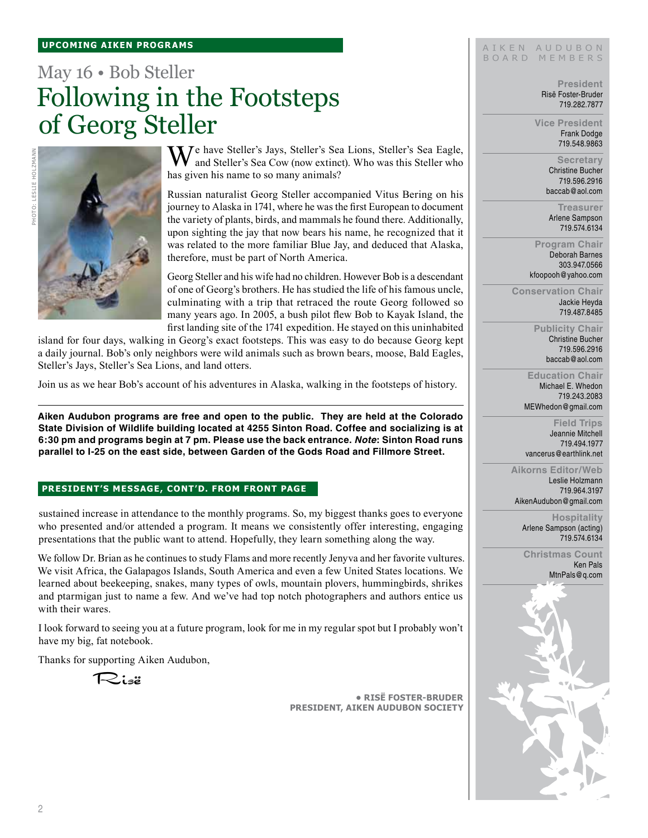#### **UPCOMING AIKEN PROGRAMS**

# May 16 • Bob Steller Following in the Footsteps of Georg Steller



We have Steller's Jays, Steller's Sea Lions, Steller's Sea Eagle, and Steller's Sea Cow (now extinct). Who was this Steller who has given his name to so many animals?

Russian naturalist Georg Steller accompanied Vitus Bering on his journey to Alaska in 1741, where he was the first European to document the variety of plants, birds, and mammals he found there. Additionally, upon sighting the jay that now bears his name, he recognized that it was related to the more familiar Blue Jay, and deduced that Alaska, therefore, must be part of North America.

Georg Steller and his wife had no children. However Bob is a descendant of one of Georg's brothers. He has studied the life of his famous uncle, culminating with a trip that retraced the route Georg followed so many years ago. In 2005, a bush pilot flew Bob to Kayak Island, the first landing site of the 1741 expedition. He stayed on this uninhabited

island for four days, walking in Georg's exact footsteps. This was easy to do because Georg kept a daily journal. Bob's only neighbors were wild animals such as brown bears, moose, Bald Eagles, Steller's Jays, Steller's Sea Lions, and land otters.

Join us as we hear Bob's account of his adventures in Alaska, walking in the footsteps of history.

**Aiken Audubon programs are free and open to the public. They are held at the Colorado State Division of Wildlife building located at 4255 Sinton Road. Coffee and socializing is at 6:30 pm and programs begin at 7 pm. Please use the back entrance.** *Note***: Sinton Road runs parallel to I-25 on the east side, between Garden of the Gods Road and Fillmore Street.**

#### **President's message, cont'd. From front page**

sustained increase in attendance to the monthly programs. So, my biggest thanks goes to everyone who presented and/or attended a program. It means we consistently offer interesting, engaging presentations that the public want to attend. Hopefully, they learn something along the way.

We follow Dr. Brian as he continues to study Flams and more recently Jenyva and her favorite vultures. We visit Africa, the Galapagos Islands, South America and even a few United States locations. We learned about beekeeping, snakes, many types of owls, mountain plovers, hummingbirds, shrikes and ptarmigan just to name a few. And we've had top notch photographers and authors entice us with their wares.

I look forward to seeing you at a future program, look for me in my regular spot but I probably won't have my big, fat notebook.

Thanks for supporting Aiken Audubon,

Risë

**• RisË Foster-Bruder President, Aiken Audubon Society**

#### AIKEN AUDUBON B O A R D M E M B E R S

**President** Risë Foster-Bruder 719.282.7877

**Vice President** Frank Dodge 719.548.9863

> **Secretary** Christine Bucher 719.596.2916 baccab@aol.com

**Treasurer** Arlene Sampson 719.574.6134

**Program Chair** Deborah Barnes 303.947.0566 kfoopooh@yahoo.com

**Conservation Chair** Jackie Heyda 719.487.8485

> **Publicity Chair** Christine Bucher 719.596.2916 baccab@aol.com

**Education Chair** Michael E. Whedon 719.243.2083 MEWhedon@gmail.com

**Field Trips** Jeannie Mitchell 719.494.1977 vancerus@earthlink.net

**Aikorns Editor/Web** Leslie Holzmann 719.964.3197 AikenAudubon@gmail.com

> **Hospitality** Arlene Sampson (acting) 719.574.6134

**Christmas Count** Ken Pals MtnPals@q.com

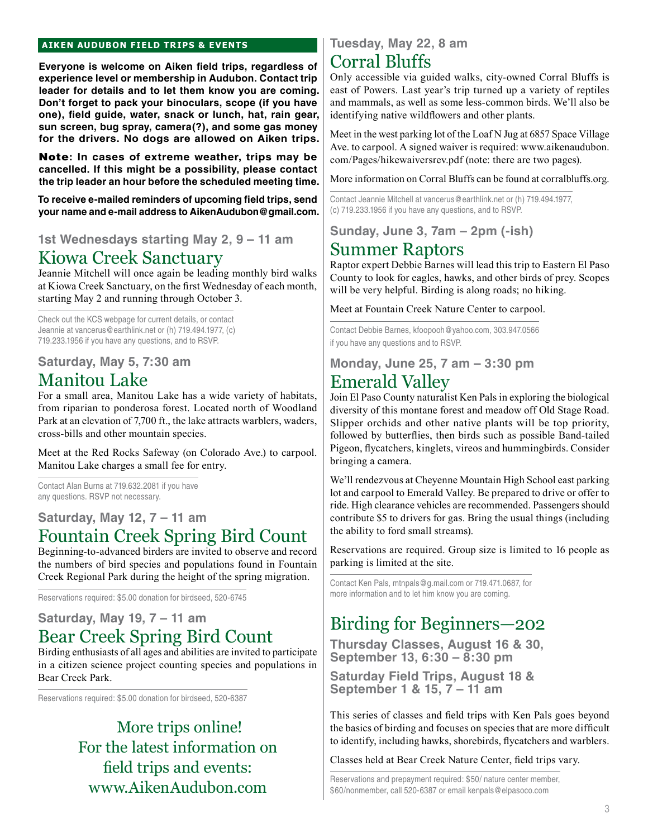### **aiken audubon FIELD TRIPS & Events**

**Everyone is welcome on Aiken field trips, regardless of experience level or membership in Audubon. Contact trip leader for details and to let them know you are coming. Don't forget to pack your binoculars, scope (if you have one), field guide, water, snack or lunch, hat, rain gear, sun screen, bug spray, camera(?), and some gas money for the drivers. No dogs are allowed on Aiken trips.** 

Note**: In cases of extreme weather, trips may be cancelled. If this might be a possibility, please contact the trip leader an hour before the scheduled meeting time.**

**To receive e-mailed reminders of upcoming field trips, send your name and e-mail address to AikenAudubon@gmail.com.**

**1st Wednesdays starting May 2, 9 – 11 am**

# Kiowa Creek Sanctuary

Jeannie Mitchell will once again be leading monthly bird walks at Kiowa Creek Sanctuary, on the first Wednesday of each month, starting May 2 and running through October 3.

Check out the KCS webpage for current details, or contact Jeannie at vancerus@earthlink.net or (h) 719.494.1977, (c) 719.233.1956 if you have any questions, and to RSVP.

**Saturday, May 5, 7:30 am**

# Manitou Lake

For a small area, Manitou Lake has a wide variety of habitats, from riparian to ponderosa forest. Located north of Woodland Park at an elevation of 7,700 ft., the lake attracts warblers, waders, cross-bills and other mountain species.

Meet at the Red Rocks Safeway (on Colorado Ave.) to carpool. Manitou Lake charges a small fee for entry.

Contact Alan Burns at 719.632.2081 if you have any questions. RSVP not necessary.

## **Saturday, May 12, 7 – 11 am** Fountain Creek Spring Bird Count

Beginning-to-advanced birders are invited to observe and record the numbers of bird species and populations found in Fountain Creek Regional Park during the height of the spring migration.

Reservations required: \$5.00 donation for birdseed, 520-6745

## **Saturday, May 19, 7 – 11 am**  Bear Creek Spring Bird Count

Birding enthusiasts of all ages and abilities are invited to participate in a citizen science project counting species and populations in Bear Creek Park.

Reservations required: \$5.00 donation for birdseed, 520-6387

 More trips online! For the latest information on field trips and events: www.AikenAudubon.com

## **Tuesday, May 22, 8 am**

# Corral Bluffs

Only accessible via guided walks, city-owned Corral Bluffs is east of Powers. Last year's trip turned up a variety of reptiles and mammals, as well as some less-common birds. We'll also be identifying native wildflowers and other plants.

Meet in the west parking lot of the Loaf N Jug at 6857 Space Village Ave. to carpool. A signed waiver is required: www.aikenaudubon. com/Pages/hikewaiversrev.pdf (note: there are two pages).

More information on Corral Bluffs can be found at corralbluffs.org.

Contact Jeannie Mitchell at vancerus@earthlink.net or (h) 719.494.1977, (c) 719.233.1956 if you have any questions, and to RSVP.

**Sunday, June 3, 7am – 2pm (-ish)**

# Summer Raptors

Raptor expert Debbie Barnes will lead this trip to Eastern El Paso County to look for eagles, hawks, and other birds of prey. Scopes will be very helpful. Birding is along roads; no hiking.

Meet at Fountain Creek Nature Center to carpool.

Contact Debbie Barnes, kfoopooh@yahoo.com, 303.947.0566 if you have any questions and to RSVP.

**Monday, June 25, 7 am – 3:30 pm**

# Emerald Valley

Join El Paso County naturalist Ken Pals in exploring the biological diversity of this montane forest and meadow off Old Stage Road. Slipper orchids and other native plants will be top priority, followed by butterflies, then birds such as possible Band-tailed Pigeon, flycatchers, kinglets, vireos and hummingbirds. Consider bringing a camera.

We'll rendezvous at Cheyenne Mountain High School east parking lot and carpool to Emerald Valley. Be prepared to drive or offer to ride. High clearance vehicles are recommended. Passengers should contribute \$5 to drivers for gas. Bring the usual things (including the ability to ford small streams).

Reservations are required. Group size is limited to 16 people as parking is limited at the site.

Contact Ken Pals, mtnpals@g.mail.com or 719.471.0687, for more information and to let him know you are coming.

# Birding for Beginners—202

**Thursday Classes, August 16 & 30, September 13, 6:30 – 8:30 pm**

**Saturday Field Trips, August 18 & September 1 & 15, 7 – 11 am**

This series of classes and field trips with Ken Pals goes beyond the basics of birding and focuses on species that are more difficult to identify, including hawks, shorebirds, flycatchers and warblers.

Classes held at Bear Creek Nature Center, field trips vary.

Reservations and prepayment required: \$50/ nature center member, \$60/nonmember, call 520-6387 or email kenpals@elpasoco.com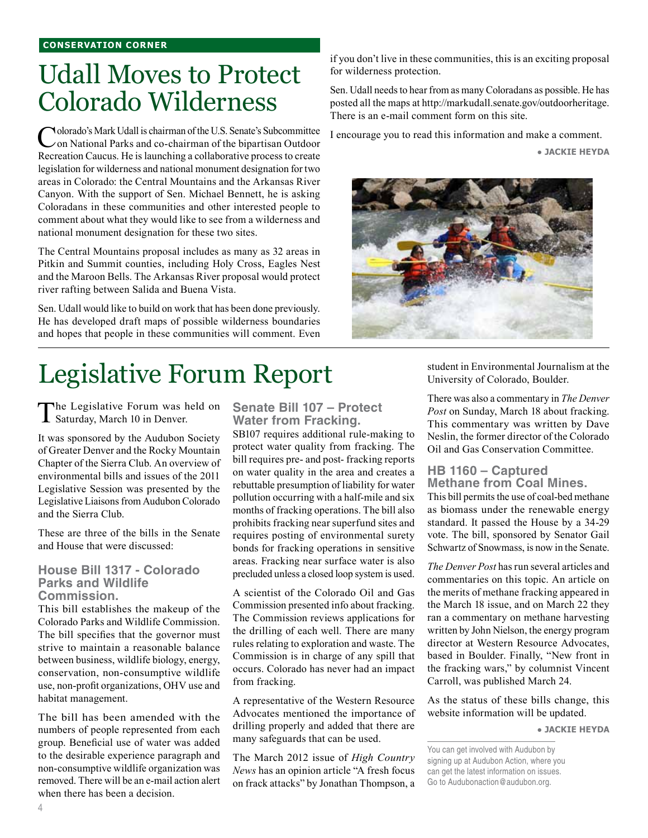# Udall Moves to Protect Colorado Wilderness

Colorado's Mark Udall is chairman of the U.S. Senate's Subcommittee<br>
on National Parks and co-chairman of the bipartisan Outdoor Recreation Caucus. He is launching a collaborative process to create legislation for wilderness and national monument designation for two areas in Colorado: the Central Mountains and the Arkansas River Canyon. With the support of Sen. Michael Bennett, he is asking Coloradans in these communities and other interested people to comment about what they would like to see from a wilderness and national monument designation for these two sites.

The Central Mountains proposal includes as many as 32 areas in Pitkin and Summit counties, including Holy Cross, Eagles Nest and the Maroon Bells. The Arkansas River proposal would protect river rafting between Salida and Buena Vista.

Sen. Udall would like to build on work that has been done previously. He has developed draft maps of possible wilderness boundaries and hopes that people in these communities will comment. Even

# Legislative Forum Report

The Legislative Forum was held on Saturday, March 10 in Denver.

It was sponsored by the Audubon Society of Greater Denver and the Rocky Mountain Chapter of the Sierra Club. An overview of environmental bills and issues of the 2011 Legislative Session was presented by the Legislative Liaisons from Audubon Colorado and the Sierra Club.

These are three of the bills in the Senate and House that were discussed:

### **House Bill 1317 - Colorado Parks and Wildlife Commission.**

This bill establishes the makeup of the Colorado Parks and Wildlife Commission. The bill specifies that the governor must strive to maintain a reasonable balance between business, wildlife biology, energy, conservation, non-consumptive wildlife use, non-profit organizations, OHV use and habitat management.

The bill has been amended with the numbers of people represented from each group. Beneficial use of water was added to the desirable experience paragraph and non-consumptive wildlife organization was removed. There will be an e-mail action alert when there has been a decision.

**Senate Bill 107 – Protect Water from Fracking.**

SB107 requires additional rule-making to protect water quality from fracking. The bill requires pre- and post- fracking reports on water quality in the area and creates a rebuttable presumption of liability for water pollution occurring with a half-mile and six months of fracking operations. The bill also prohibits fracking near superfund sites and requires posting of environmental surety bonds for fracking operations in sensitive areas. Fracking near surface water is also precluded unless a closed loop system is used.

A scientist of the Colorado Oil and Gas Commission presented info about fracking. The Commission reviews applications for the drilling of each well. There are many rules relating to exploration and waste. The Commission is in charge of any spill that occurs. Colorado has never had an impact from fracking.

A representative of the Western Resource Advocates mentioned the importance of drilling properly and added that there are many safeguards that can be used.

The March 2012 issue of *High Country News* has an opinion article "A fresh focus on frack attacks" by Jonathan Thompson, a

if you don't live in these communities, this is an exciting proposal for wilderness protection.

Sen. Udall needs to hear from as many Coloradans as possible. He has posted all the maps at http://markudall.senate.gov/outdoorheritage. There is an e-mail comment form on this site.

I encourage you to read this information and make a comment.

**● Jackie Heyda** 



student in Environmental Journalism at the University of Colorado, Boulder.

There was also a commentary in *The Denver Post* on Sunday, March 18 about fracking. This commentary was written by Dave Neslin, the former director of the Colorado Oil and Gas Conservation Committee.

#### **HB 1160 – Captured Methane from Coal Mines.**

This bill permits the use of coal-bed methane as biomass under the renewable energy standard. It passed the House by a 34-29 vote. The bill, sponsored by Senator Gail Schwartz of Snowmass, is now in the Senate.

*The Denver Post* has run several articles and commentaries on this topic. An article on the merits of methane fracking appeared in the March 18 issue, and on March 22 they ran a commentary on methane harvesting written by John Nielson, the energy program director at Western Resource Advocates, based in Boulder. Finally, "New front in the fracking wars," by columnist Vincent Carroll, was published March 24.

As the status of these bills change, this website information will be updated.

**● Jackie Heyda** 

You can get involved with Audubon by signing up at Audubon Action, where you can get the latest information on issues. Go to Audubonaction@audubon.org.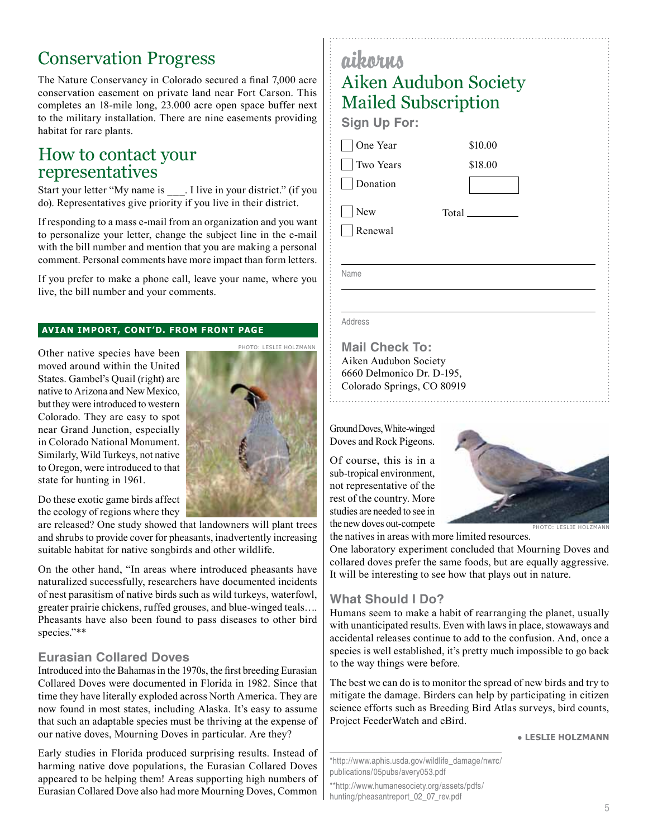# Conservation Progress

The Nature Conservancy in Colorado secured a final 7,000 acre conservation easement on private land near Fort Carson. This completes an 18-mile long, 23.000 acre open space buffer next to the military installation. There are nine easements providing habitat for rare plants.

## How to contact your representatives

Start your letter "My name is \_\_\_. I live in your district." (if you do). Representatives give priority if you live in their district.

If responding to a mass e-mail from an organization and you want to personalize your letter, change the subject line in the e-mail with the bill number and mention that you are making a personal comment. Personal comments have more impact than form letters.

If you prefer to make a phone call, leave your name, where you live, the bill number and your comments.

Photo: Leslie Holzmann

#### **Avian Import, cont'd. from front page**

Other native species have been moved around within the United States. Gambel's Quail (right) are native to Arizona and New Mexico, but they were introduced to western Colorado. They are easy to spot near Grand Junction, especially in Colorado National Monument. Similarly, Wild Turkeys, not native to Oregon, were introduced to that state for hunting in 1961.

Do these exotic game birds affect the ecology of regions where they

are released? One study showed that landowners will plant trees and shrubs to provide cover for pheasants, inadvertently increasing suitable habitat for native songbirds and other wildlife.

On the other hand, "In areas where introduced pheasants have naturalized successfully, researchers have documented incidents of nest parasitism of native birds such as wild turkeys, waterfowl, greater prairie chickens, ruffed grouses, and blue-winged teals…. Pheasants have also been found to pass diseases to other bird species."\*\*

### **Eurasian Collared Doves**

Introduced into the Bahamas in the 1970s, the first breeding Eurasian Collared Doves were documented in Florida in 1982. Since that time they have literally exploded across North America. They are now found in most states, including Alaska. It's easy to assume that such an adaptable species must be thriving at the expense of our native doves, Mourning Doves in particular. Are they?

Early studies in Florida produced surprising results. Instead of harming native dove populations, the Eurasian Collared Doves appeared to be helping them! Areas supporting high numbers of Eurasian Collared Dove also had more Mourning Doves, Common

| aikorus                    |       |         |  |
|----------------------------|-------|---------|--|
| Aiken Audubon Society      |       |         |  |
| <b>Mailed Subscription</b> |       |         |  |
| <b>Sign Up For:</b>        |       |         |  |
| One Year                   |       | \$10.00 |  |
| Two Years                  |       | \$18.00 |  |
| Donation                   |       |         |  |
| New                        | Total |         |  |
| Renewal                    |       |         |  |
|                            |       |         |  |
| Name                       |       |         |  |
|                            |       |         |  |
| Address                    |       |         |  |

**Mail Check To:** Aiken Audubon Society 6660 Delmonico Dr. D-195, Colorado Springs, CO 80919

Ground Doves, White-winged Doves and Rock Pigeons.

Of course, this is in a sub-tropical environment, not representative of the rest of the country. More studies are needed to see in the new doves out-compete



the natives in areas with more limited resources.

One laboratory experiment concluded that Mourning Doves and collared doves prefer the same foods, but are equally aggressive. It will be interesting to see how that plays out in nature.

### **What Should I Do?**

Humans seem to make a habit of rearranging the planet, usually with unanticipated results. Even with laws in place, stowaways and accidental releases continue to add to the confusion. And, once a species is well established, it's pretty much impossible to go back to the way things were before.

The best we can do is to monitor the spread of new birds and try to mitigate the damage. Birders can help by participating in citizen science efforts such as Breeding Bird Atlas surveys, bird counts, Project FeederWatch and eBird.

● **Leslie Holzmann**

\*http://www.aphis.usda.gov/wildlife\_damage/nwrc/ publications/05pubs/avery053.pdf

\*\*http://www.humanesociety.org/assets/pdfs/ hunting/pheasantreport\_02\_07\_rev.pdf